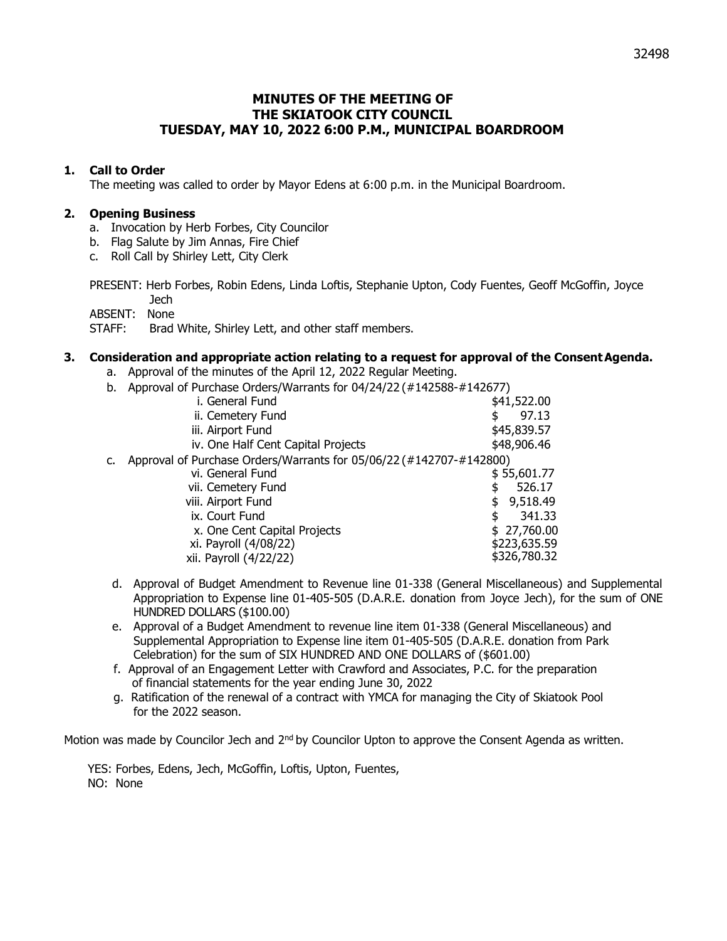# **MINUTES OF THE MEETING OF THE SKIATOOK CITY COUNCIL TUESDAY, MAY 10, 2022 6:00 P.M., MUNICIPAL BOARDROOM**

### **1. Call to Order**

The meeting was called to order by Mayor Edens at 6:00 p.m. in the Municipal Boardroom.

#### **2. Opening Business**

- a. Invocation by Herb Forbes, City Councilor
- b. Flag Salute by Jim Annas, Fire Chief
- c. Roll Call by Shirley Lett, City Clerk

PRESENT: Herb Forbes, Robin Edens, Linda Loftis, Stephanie Upton, Cody Fuentes, Geoff McGoffin, Joyce Jech

ABSENT: None

STAFF: Brad White, Shirley Lett, and other staff members.

#### **3. Consideration and appropriate action relating to a request for approval of the ConsentAgenda.**

- a. Approval of the minutes of the April 12, 2022 Regular Meeting.
- b. Approval of Purchase Orders/Warrants for 04/24/22 (#142588-#142677)

|    | i. General Fund                                                     | \$41,522.00  |  |  |
|----|---------------------------------------------------------------------|--------------|--|--|
|    | ii. Cemetery Fund                                                   | 97.13        |  |  |
|    | iii. Airport Fund                                                   | \$45,839.57  |  |  |
|    | iv. One Half Cent Capital Projects                                  | \$48,906.46  |  |  |
| c. | Approval of Purchase Orders/Warrants for 05/06/22 (#142707-#142800) |              |  |  |
|    | vi. General Fund                                                    | \$55,601.77  |  |  |
|    | vii. Cemetery Fund                                                  | 526.17       |  |  |
|    | viii. Airport Fund                                                  | 9,518.49     |  |  |
|    | ix. Court Fund                                                      | 341.33       |  |  |
|    | x. One Cent Capital Projects                                        | \$27,760.00  |  |  |
|    | xi. Payroll (4/08/22)                                               | \$223,635.59 |  |  |
|    | xii. Payroll (4/22/22)                                              | \$326,780.32 |  |  |

- d. Approval of Budget Amendment to Revenue line 01-338 (General Miscellaneous) and Supplemental Appropriation to Expense line 01-405-505 (D.A.R.E. donation from Joyce Jech), for the sum of ONE HUNDRED DOLLARS (\$100.00)
- e. Approval of a Budget Amendment to revenue line item 01-338 (General Miscellaneous) and Supplemental Appropriation to Expense line item 01-405-505 (D.A.R.E. donation from Park Celebration) for the sum of SIX HUNDRED AND ONE DOLLARS of (\$601.00)
- f. Approval of an Engagement Letter with Crawford and Associates, P.C. for the preparation of financial statements for the year ending June 30, 2022
- g. Ratification of the renewal of a contract with YMCA for managing the City of Skiatook Pool for the 2022 season.

Motion was made by Councilor Jech and 2<sup>nd</sup> by Councilor Upton to approve the Consent Agenda as written.

 YES: Forbes, Edens, Jech, McGoffin, Loftis, Upton, Fuentes, NO: None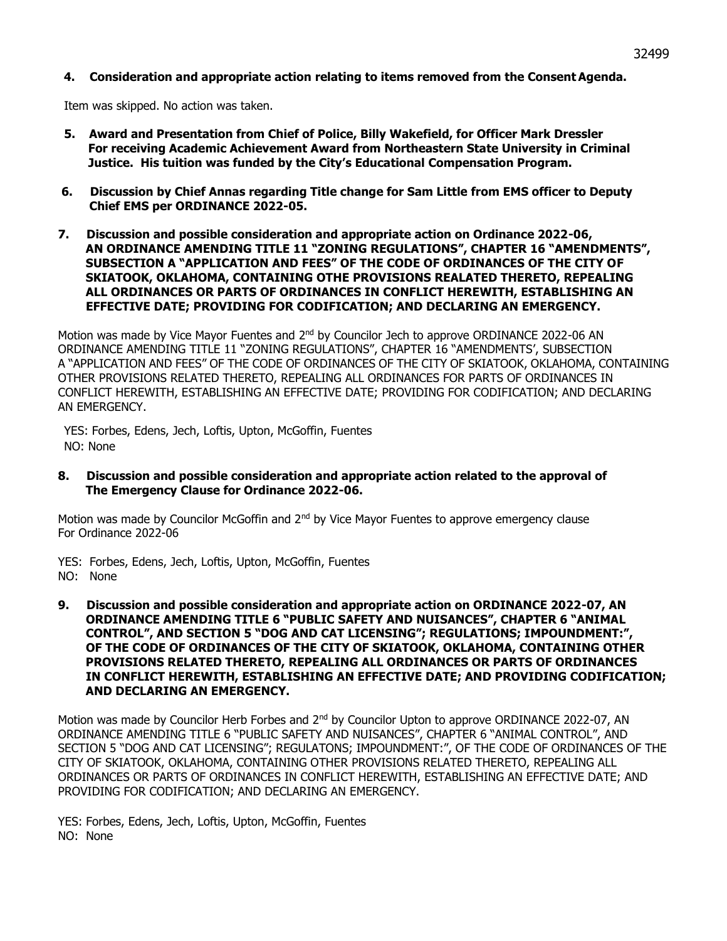## **4. Consideration and appropriate action relating to items removed from the ConsentAgenda.**

Item was skipped. No action was taken.

- **5. Award and Presentation from Chief of Police, Billy Wakefield, for Officer Mark Dressler For receiving Academic Achievement Award from Northeastern State University in Criminal Justice. His tuition was funded by the City's Educational Compensation Program.**
- **6. Discussion by Chief Annas regarding Title change for Sam Little from EMS officer to Deputy Chief EMS per ORDINANCE 2022-05.**
- **7. Discussion and possible consideration and appropriate action on Ordinance 2022-06, AN ORDINANCE AMENDING TITLE 11 "ZONING REGULATIONS", CHAPTER 16 "AMENDMENTS", SUBSECTION A "APPLICATION AND FEES" OF THE CODE OF ORDINANCES OF THE CITY OF SKIATOOK, OKLAHOMA, CONTAINING OTHE PROVISIONS REALATED THERETO, REPEALING ALL ORDINANCES OR PARTS OF ORDINANCES IN CONFLICT HEREWITH, ESTABLISHING AN EFFECTIVE DATE; PROVIDING FOR CODIFICATION; AND DECLARING AN EMERGENCY.**

Motion was made by Vice Mayor Fuentes and 2<sup>nd</sup> by Councilor Jech to approve ORDINANCE 2022-06 AN ORDINANCE AMENDING TITLE 11 "ZONING REGULATIONS", CHAPTER 16 "AMENDMENTS', SUBSECTION A "APPLICATION AND FEES" OF THE CODE OF ORDINANCES OF THE CITY OF SKIATOOK, OKLAHOMA, CONTAINING OTHER PROVISIONS RELATED THERETO, REPEALING ALL ORDINANCES FOR PARTS OF ORDINANCES IN CONFLICT HEREWITH, ESTABLISHING AN EFFECTIVE DATE; PROVIDING FOR CODIFICATION; AND DECLARING AN EMERGENCY.

YES: Forbes, Edens, Jech, Loftis, Upton, McGoffin, Fuentes NO: None

**8. Discussion and possible consideration and appropriate action related to the approval of The Emergency Clause for Ordinance 2022-06.**

Motion was made by Councilor McGoffin and  $2<sup>nd</sup>$  by Vice Mayor Fuentes to approve emergency clause For Ordinance 2022-06

YES: Forbes, Edens, Jech, Loftis, Upton, McGoffin, Fuentes NO: None

**9. Discussion and possible consideration and appropriate action on ORDINANCE 2022-07, AN ORDINANCE AMENDING TITLE 6 "PUBLIC SAFETY AND NUISANCES", CHAPTER 6 "ANIMAL CONTROL", AND SECTION 5 "DOG AND CAT LICENSING"; REGULATIONS; IMPOUNDMENT:", OF THE CODE OF ORDINANCES OF THE CITY OF SKIATOOK, OKLAHOMA, CONTAINING OTHER PROVISIONS RELATED THERETO, REPEALING ALL ORDINANCES OR PARTS OF ORDINANCES IN CONFLICT HEREWITH, ESTABLISHING AN EFFECTIVE DATE; AND PROVIDING CODIFICATION; AND DECLARING AN EMERGENCY.**

Motion was made by Councilor Herb Forbes and 2<sup>nd</sup> by Councilor Upton to approve ORDINANCE 2022-07, AN ORDINANCE AMENDING TITLE 6 "PUBLIC SAFETY AND NUISANCES", CHAPTER 6 "ANIMAL CONTROL", AND SECTION 5 "DOG AND CAT LICENSING"; REGULATONS; IMPOUNDMENT:", OF THE CODE OF ORDINANCES OF THE CITY OF SKIATOOK, OKLAHOMA, CONTAINING OTHER PROVISIONS RELATED THERETO, REPEALING ALL ORDINANCES OR PARTS OF ORDINANCES IN CONFLICT HEREWITH, ESTABLISHING AN EFFECTIVE DATE; AND PROVIDING FOR CODIFICATION; AND DECLARING AN EMERGENCY.

YES: Forbes, Edens, Jech, Loftis, Upton, McGoffin, Fuentes NO: None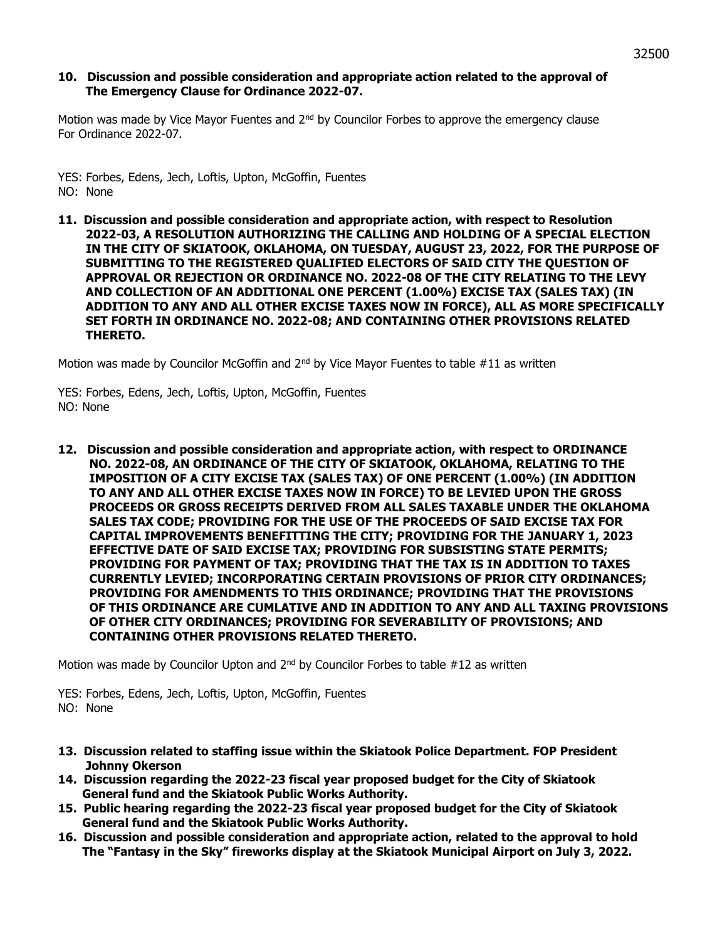### **10. Discussion and possible consideration and appropriate action related to the approval of The Emergency Clause for Ordinance 2022-07.**

Motion was made by Vice Mayor Fuentes and 2<sup>nd</sup> by Councilor Forbes to approve the emergency clause For Ordinance 2022-07.

- YES: Forbes, Edens, Jech, Loftis, Upton, McGoffin, Fuentes NO: None
- **11. Discussion and possible consideration and appropriate action, with respect to Resolution 2022-03, A RESOLUTION AUTHORIZING THE CALLING AND HOLDING OF A SPECIAL ELECTION IN THE CITY OF SKIATOOK, OKLAHOMA, ON TUESDAY, AUGUST 23, 2022, FOR THE PURPOSE OF SUBMITTING TO THE REGISTERED QUALIFIED ELECTORS OF SAID CITY THE QUESTION OF APPROVAL OR REJECTION OR ORDINANCE NO. 2022-08 OF THE CITY RELATING TO THE LEVY AND COLLECTION OF AN ADDITIONAL ONE PERCENT (1.00%) EXCISE TAX (SALES TAX) (IN ADDITION TO ANY AND ALL OTHER EXCISE TAXES NOW IN FORCE), ALL AS MORE SPECIFICALLY SET FORTH IN ORDINANCE NO. 2022-08; AND CONTAINING OTHER PROVISIONS RELATED THERETO.**

Motion was made by Councilor McGoffin and  $2<sup>nd</sup>$  by Vice Mayor Fuentes to table  $#11$  as written

YES: Forbes, Edens, Jech, Loftis, Upton, McGoffin, Fuentes NO: None

**12. Discussion and possible consideration and appropriate action, with respect to ORDINANCE NO. 2022-08, AN ORDINANCE OF THE CITY OF SKIATOOK, OKLAHOMA, RELATING TO THE IMPOSITION OF A CITY EXCISE TAX (SALES TAX) OF ONE PERCENT (1.00%) (IN ADDITION TO ANY AND ALL OTHER EXCISE TAXES NOW IN FORCE) TO BE LEVIED UPON THE GROSS PROCEEDS OR GROSS RECEIPTS DERIVED FROM ALL SALES TAXABLE UNDER THE OKLAHOMA SALES TAX CODE; PROVIDING FOR THE USE OF THE PROCEEDS OF SAID EXCISE TAX FOR CAPITAL IMPROVEMENTS BENEFITTING THE CITY; PROVIDING FOR THE JANUARY 1, 2023 EFFECTIVE DATE OF SAID EXCISE TAX; PROVIDING FOR SUBSISTING STATE PERMITS; PROVIDING FOR PAYMENT OF TAX; PROVIDING THAT THE TAX IS IN ADDITION TO TAXES CURRENTLY LEVIED; INCORPORATING CERTAIN PROVISIONS OF PRIOR CITY ORDINANCES; PROVIDING FOR AMENDMENTS TO THIS ORDINANCE; PROVIDING THAT THE PROVISIONS OF THIS ORDINANCE ARE CUMLATIVE AND IN ADDITION TO ANY AND ALL TAXING PROVISIONS OF OTHER CITY ORDINANCES; PROVIDING FOR SEVERABILITY OF PROVISIONS; AND CONTAINING OTHER PROVISIONS RELATED THERETO.** 

Motion was made by Councilor Upton and  $2<sup>nd</sup>$  by Councilor Forbes to table #12 as written

YES: Forbes, Edens, Jech, Loftis, Upton, McGoffin, Fuentes NO: None

- **13. Discussion related to staffing issue within the Skiatook Police Department. FOP President Johnny Okerson**
- **14. Discussion regarding the 2022-23 fiscal year proposed budget for the City of Skiatook General fund and the Skiatook Public Works Authority.**
- **15. Public hearing regarding the 2022-23 fiscal year proposed budget for the City of Skiatook General fund and the Skiatook Public Works Authority.**
- **16. Discussion and possible consideration and appropriate action, related to the approval to hold The "Fantasy in the Sky" fireworks display at the Skiatook Municipal Airport on July 3, 2022.**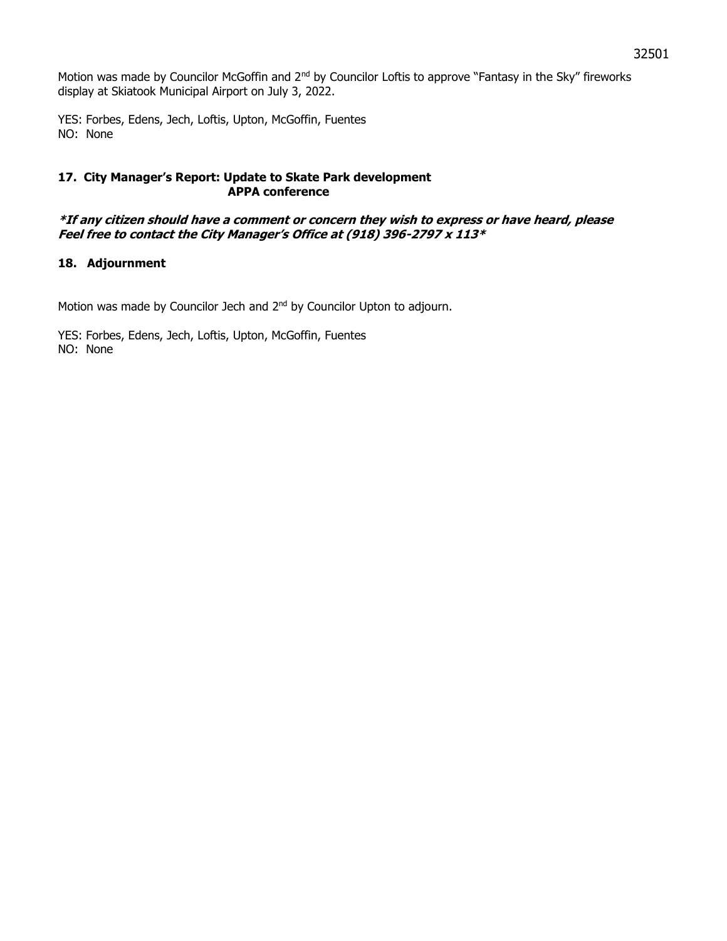Motion was made by Councilor McGoffin and 2<sup>nd</sup> by Councilor Loftis to approve "Fantasy in the Sky" fireworks display at Skiatook Municipal Airport on July 3, 2022.

YES: Forbes, Edens, Jech, Loftis, Upton, McGoffin, Fuentes NO: None

### **17. City Manager's Report: Update to Skate Park development APPA conference**

## **\*If any citizen should have a comment or concern they wish to express or have heard, please Feel free to contact the City Manager's Office at (918) 396-2797 x 113\***

## **18. Adjournment**

Motion was made by Councilor Jech and 2<sup>nd</sup> by Councilor Upton to adjourn.

YES: Forbes, Edens, Jech, Loftis, Upton, McGoffin, Fuentes NO: None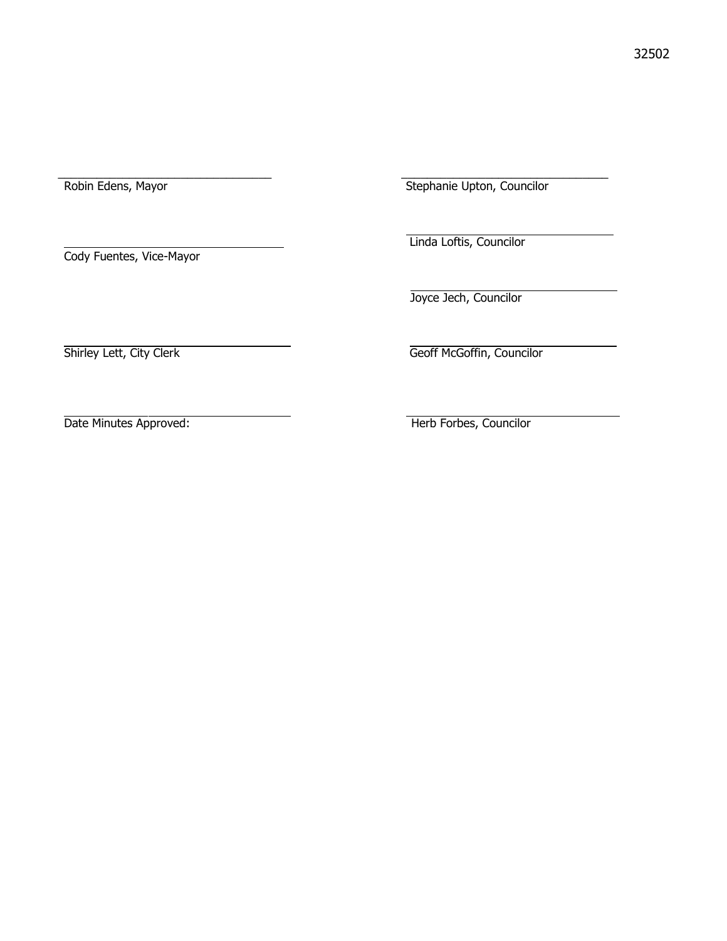\_\_\_\_\_\_\_\_\_\_\_\_\_\_\_\_\_\_\_\_\_\_\_\_\_\_\_\_\_\_\_\_\_ \_\_\_\_\_\_\_\_\_\_\_\_\_\_\_\_\_\_\_\_\_\_\_\_\_\_\_\_\_\_\_\_

Cody Fuentes, Vice-Mayor

Robin Edens, Mayor Stephanie Upton, Councilor

Linda Loftis, Councilor

Joyce Jech, Councilor

Shirley Lett, City Clerk Geoff McGoffin, Councilor

Date Minutes Approved: Therb Forbes, Councilor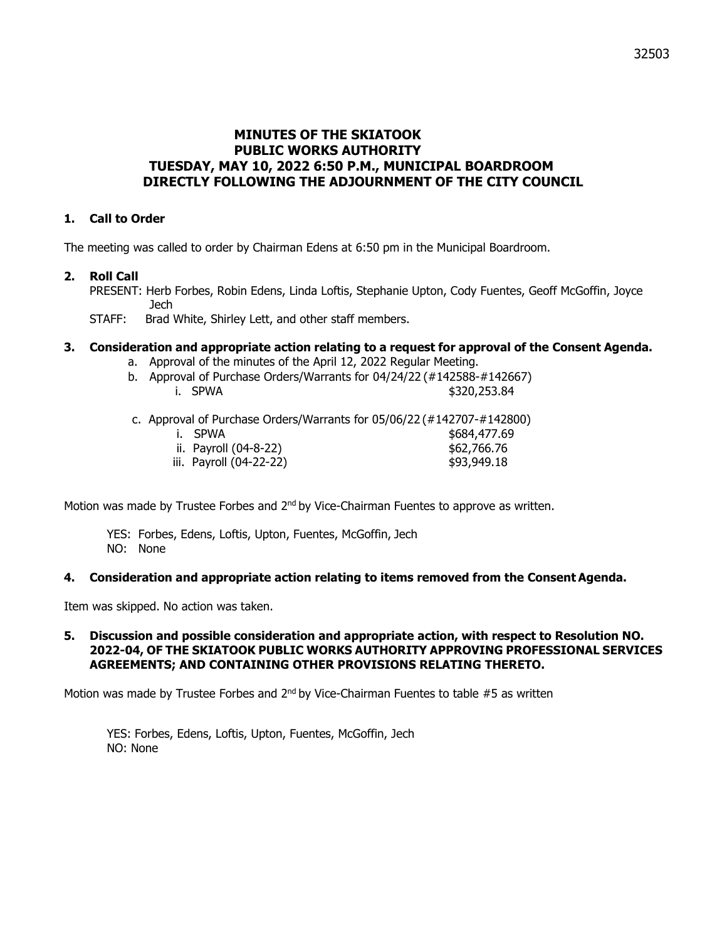# **MINUTES OF THE SKIATOOK PUBLIC WORKS AUTHORITY TUESDAY, MAY 10, 2022 6:50 P.M., MUNICIPAL BOARDROOM DIRECTLY FOLLOWING THE ADJOURNMENT OF THE CITY COUNCIL**

## **1. Call to Order**

The meeting was called to order by Chairman Edens at 6:50 pm in the Municipal Boardroom.

### **2. Roll Call**

PRESENT: Herb Forbes, Robin Edens, Linda Loftis, Stephanie Upton, Cody Fuentes, Geoff McGoffin, Joyce Jech

STAFF: Brad White, Shirley Lett, and other staff members.

### **3. Consideration and appropriate action relating to a request for approval of the Consent Agenda.**

- a. Approval of the minutes of the April 12, 2022 Regular Meeting.
- b. Approval of Purchase Orders/Warrants for 04/24/22 (#142588-#142667) i. SPWA \$320,253.84
- c. Approval of Purchase Orders/Warrants for 05/06/22 (#142707-#142800)

| i. SPWA                 |  | \$684,477.69 |
|-------------------------|--|--------------|
| ii. Payroll (04-8-22)   |  | \$62,766.76  |
| iii. Payroll (04-22-22) |  | \$93,949.18  |

Motion was made by Trustee Forbes and  $2<sup>nd</sup>$  by Vice-Chairman Fuentes to approve as written.

YES: Forbes, Edens, Loftis, Upton, Fuentes, McGoffin, Jech NO: None

#### **4. Consideration and appropriate action relating to items removed from the Consent Agenda.**

Item was skipped. No action was taken.

### **5. Discussion and possible consideration and appropriate action, with respect to Resolution NO. 2022-04, OF THE SKIATOOK PUBLIC WORKS AUTHORITY APPROVING PROFESSIONAL SERVICES AGREEMENTS; AND CONTAINING OTHER PROVISIONS RELATING THERETO.**

Motion was made by Trustee Forbes and  $2<sup>nd</sup>$  by Vice-Chairman Fuentes to table #5 as written

YES: Forbes, Edens, Loftis, Upton, Fuentes, McGoffin, Jech NO: None